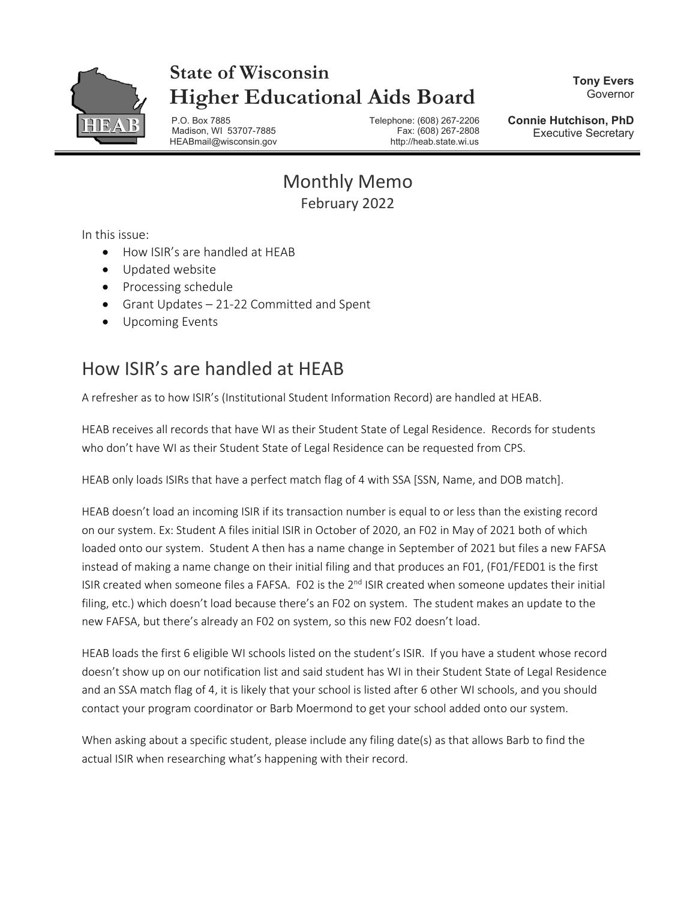

## **State of Wisconsin Higher Educational Aids Board**

**Tony Evers** Governor

P.O. Box 7885 Telephone: (608) 267-2206 Madison, WI 53707-7885 HEABmail@wisconsin.gov http://heab.state.wi.us

**Connie Hutchison, PhD** Executive Secretary

Monthly Memo February 2022

In this issue:

- How ISIR's are handled at HEAB
- Updated website
- Processing schedule
- Grant Updates 21-22 Committed and Spent
- Upcoming Events

## How ISIR's are handled at HEAB

A refresher as to how ISIR's (Institutional Student Information Record) are handled at HEAB.

HEAB receives all records that have WI as their Student State of Legal Residence. Records for students who don't have WI as their Student State of Legal Residence can be requested from CPS.

HEAB only loads ISIRs that have a perfect match flag of 4 with SSA [SSN, Name, and DOB match].

HEAB doesn't load an incoming ISIR if its transaction number is equal to or less than the existing record on our system. Ex: Student A files initial ISIR in October of 2020, an F02 in May of 2021 both of which loaded onto our system. Student A then has a name change in September of 2021 but files a new FAFSA instead of making a name change on their initial filing and that produces an F01, (F01/FED01 is the first ISIR created when someone files a FAFSA. F02 is the 2<sup>nd</sup> ISIR created when someone updates their initial filing, etc.) which doesn't load because there's an F02 on system. The student makes an update to the new FAFSA, but there's already an F02 on system, so this new F02 doesn't load.

HEAB loads the first 6 eligible WI schools listed on the student's ISIR. If you have a student whose record doesn't show up on our notification list and said student has WI in their Student State of Legal Residence and an SSA match flag of 4, it is likely that your school is listed after 6 other WI schools, and you should contact your program coordinator or Barb Moermond to get your school added onto our system.

When asking about a specific student, please include any filing date(s) as that allows Barb to find the actual ISIR when researching what's happening with their record.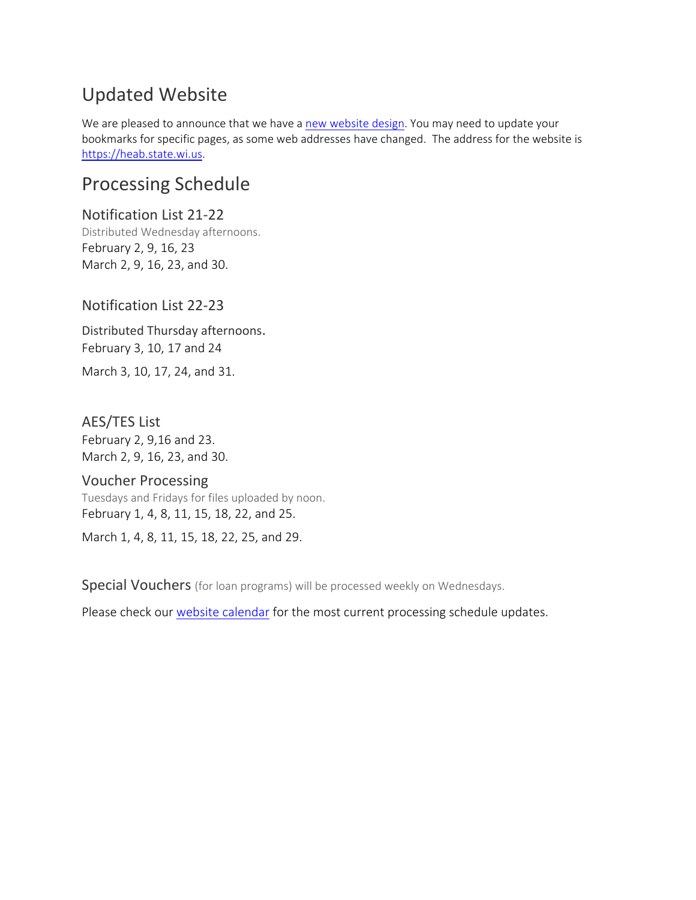## Updated Website

We are pleased to announce that we have a [new website design.](https://heab.state.wi.us/) You may need to update your bookmarks for specific pages, as some web addresses have changed. The address for the website is [https://heab.state.wi.us.](https://heab.state.wi.us/)

### Processing Schedule

Notification List 21-22 Distributed Wednesday afternoons. February 2, 9, 16, 23 March 2, 9, 16, 23, and 30.

#### Notification List 22-23

Distributed Thursday afternoons. February 3, 10, 17 and 24 March 3, 10, 17, 24, and 31.

# AES/TES List

February 2, 9,16 and 23. March 2, 9, 16, 23, and 30.

#### Voucher Processing

Tuesdays and Fridays for files uploaded by noon. February 1, 4, 8, 11, 15, 18, 22, and 25.

March 1, 4, 8, 11, 15, 18, 22, 25, and 29.

Special Vouchers (for loan programs) will be processed weekly on Wednesdays.

Please check our [website calendar](https://heab.state.wi.us/pschedule.html) for the most current processing schedule updates.